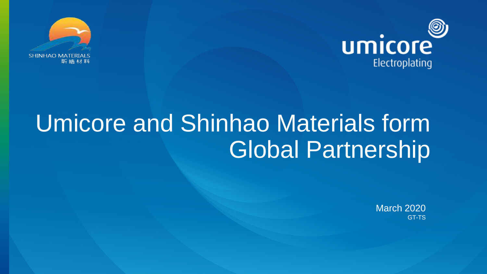



## Umicore and Shinhao Materials form Global Partnership

March 2020 GT-TS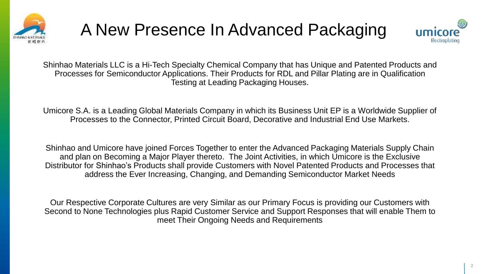





Shinhao Materials LLC is a Hi-Tech Specialty Chemical Company that has Unique and Patented Products and Processes for Semiconductor Applications. Their Products for RDL and Pillar Plating are in Qualification Testing at Leading Packaging Houses.

Umicore S.A. is a Leading Global Materials Company in which its Business Unit EP is a Worldwide Supplier of Processes to the Connector, Printed Circuit Board, Decorative and Industrial End Use Markets.

Shinhao and Umicore have joined Forces Together to enter the Advanced Packaging Materials Supply Chain and plan on Becoming a Major Player thereto. The Joint Activities, in which Umicore is the Exclusive Distributor for Shinhao's Products shall provide Customers with Novel Patented Products and Processes that address the Ever Increasing, Changing, and Demanding Semiconductor Market Needs

Our Respective Corporate Cultures are very Similar as our Primary Focus is providing our Customers with Second to None Technologies plus Rapid Customer Service and Support Responses that will enable Them to meet Their Ongoing Needs and Requirements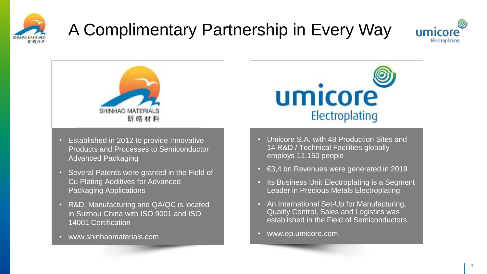

## A Complimentary Partnership in Every Way





- Established in 2012 to provide Innovative Products and Processes to Semiconductor Advanced Packaging
- Several Patents were granted in the Field of Cu Plating Additives for Advanced Packaging Applications
- R&D, Manufacturing and QA/QC is located in Suzhou China with ISO 9001 and ISO 14001 Certification
- www.shinhaomaterials.com



- Umicore S.A. with 48 Production Sites and 14 R&D / Technical Facilities globally employs 11.150 people
- €3,4 bn Revenues were generated in 2019
- Its Business Unit Electroplating is a Segment Leader in Precious Metals Electroplating
- An International Set-Up for Manufacturing, Quality Control, Sales and Logistics was established in the Field of Semiconductors
- www.ep.umicore.com